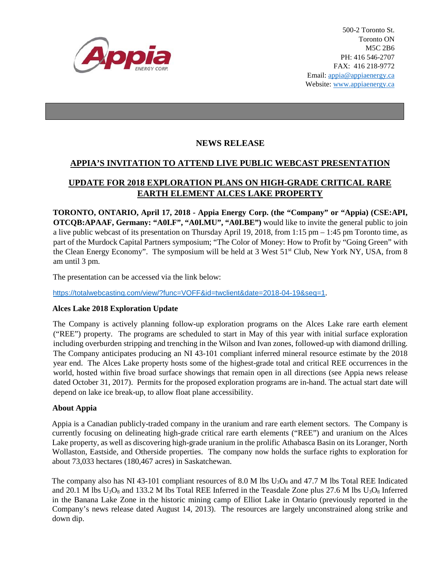

## **NEWS RELEASE**

## **APPIA'S INVITATION TO ATTEND LIVE PUBLIC WEBCAST PRESENTATION**

# **UPDATE FOR 2018 EXPLORATION PLANS ON HIGH-GRADE CRITICAL RARE EARTH ELEMENT ALCES LAKE PROPERTY**

**TORONTO, ONTARIO, April 17, 2018 - Appia Energy Corp. (the "Company" or "Appia) (CSE:API, OTCQB:APAAF, Germany: "A0I.F", "A0I.MU", "A0I.BE")** would like to invite the general public to join a live public webcast of its presentation on Thursday April 19, 2018, from 1:15 pm – 1:45 pm Toronto time, as part of the Murdock Capital Partners symposium; "The Color of Money: How to Profit by "Going Green" with the Clean Energy Economy". The symposium will be held at 3 West 51<sup>st</sup> Club, New York NY, USA, from 8 am until 3 pm.

The presentation can be accessed via the link below:

<https://totalwebcasting.com/view/?func=VOFF&id=twclient&date=2018-04-19&seq=1>.

#### **Alces Lake 2018 Exploration Update**

The Company is actively planning follow-up exploration programs on the Alces Lake rare earth element ("REE") property. The programs are scheduled to start in May of this year with initial surface exploration including overburden stripping and trenching in the Wilson and Ivan zones, followed-up with diamond drilling. The Company anticipates producing an NI 43-101 compliant inferred mineral resource estimate by the 2018 year end. The Alces Lake property hosts some of the highest-grade total and critical REE occurrences in the world, hosted within five broad surface showings that remain open in all directions (see Appia news release dated October 31, 2017). Permits for the proposed exploration programs are in-hand. The actual start date will depend on lake ice break-up, to allow float plane accessibility.

### **About Appia**

Appia is a Canadian publicly-traded company in the uranium and rare earth element sectors. The Company is currently focusing on delineating high-grade critical rare earth elements ("REE") and uranium on the Alces Lake property, as well as discovering high-grade uranium in the prolific Athabasca Basin on its Loranger, North Wollaston, Eastside, and Otherside properties. The company now holds the surface rights to exploration for about 73,033 hectares (180,467 acres) in Saskatchewan.

The company also has NI 43-101 compliant resources of 8.0 M lbs  $U_3O_8$  and 47.7 M lbs Total REE Indicated and 20.1 M lbs  $U_3O_8$  and 133.2 M lbs Total REE Inferred in the Teasdale Zone plus 27.6 M lbs  $U_3O_8$  Inferred in the Banana Lake Zone in the historic mining camp of Elliot Lake in Ontario (previously reported in the Company's news release dated August 14, 2013). The resources are largely unconstrained along strike and down dip.